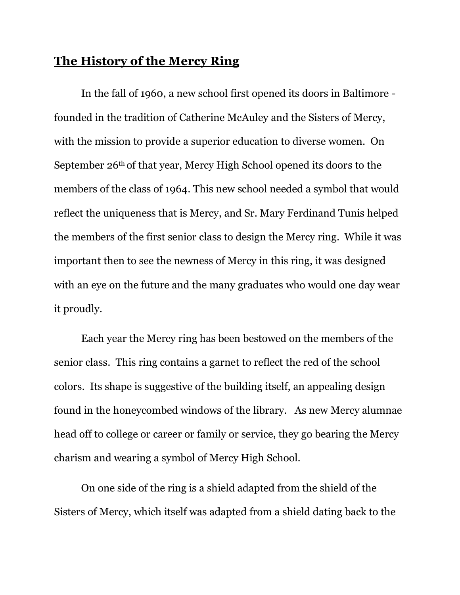## **The History of the Mercy Ring**

In the fall of 1960, a new school first opened its doors in Baltimore founded in the tradition of Catherine McAuley and the Sisters of Mercy, with the mission to provide a superior education to diverse women. On September 26th of that year, Mercy High School opened its doors to the members of the class of 1964. This new school needed a symbol that would reflect the uniqueness that is Mercy, and Sr. Mary Ferdinand Tunis helped the members of the first senior class to design the Mercy ring. While it was important then to see the newness of Mercy in this ring, it was designed with an eye on the future and the many graduates who would one day wear it proudly.

Each year the Mercy ring has been bestowed on the members of the senior class. This ring contains a garnet to reflect the red of the school colors. Its shape is suggestive of the building itself, an appealing design found in the honeycombed windows of the library. As new Mercy alumnae head off to college or career or family or service, they go bearing the Mercy charism and wearing a symbol of Mercy High School.

On one side of the ring is a shield adapted from the shield of the Sisters of Mercy, which itself was adapted from a shield dating back to the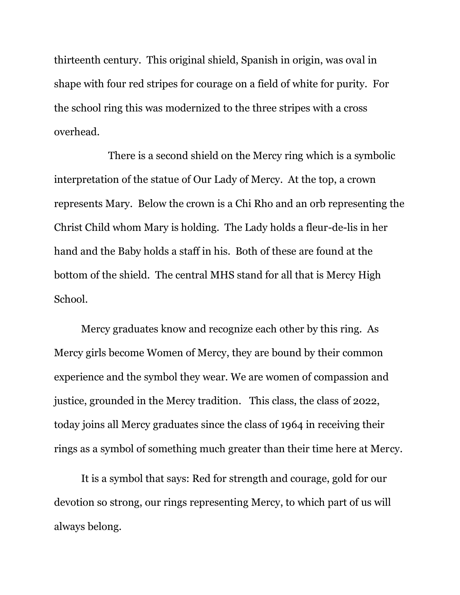thirteenth century. This original shield, Spanish in origin, was oval in shape with four red stripes for courage on a field of white for purity. For the school ring this was modernized to the three stripes with a cross overhead.

There is a second shield on the Mercy ring which is a symbolic interpretation of the statue of Our Lady of Mercy. At the top, a crown represents Mary. Below the crown is a Chi Rho and an orb representing the Christ Child whom Mary is holding. The Lady holds a fleur-de-lis in her hand and the Baby holds a staff in his. Both of these are found at the bottom of the shield. The central MHS stand for all that is Mercy High School.

Mercy graduates know and recognize each other by this ring. As Mercy girls become Women of Mercy, they are bound by their common experience and the symbol they wear. We are women of compassion and justice, grounded in the Mercy tradition. This class, the class of 2022, today joins all Mercy graduates since the class of 1964 in receiving their rings as a symbol of something much greater than their time here at Mercy.

It is a symbol that says: Red for strength and courage, gold for our devotion so strong, our rings representing Mercy, to which part of us will always belong.